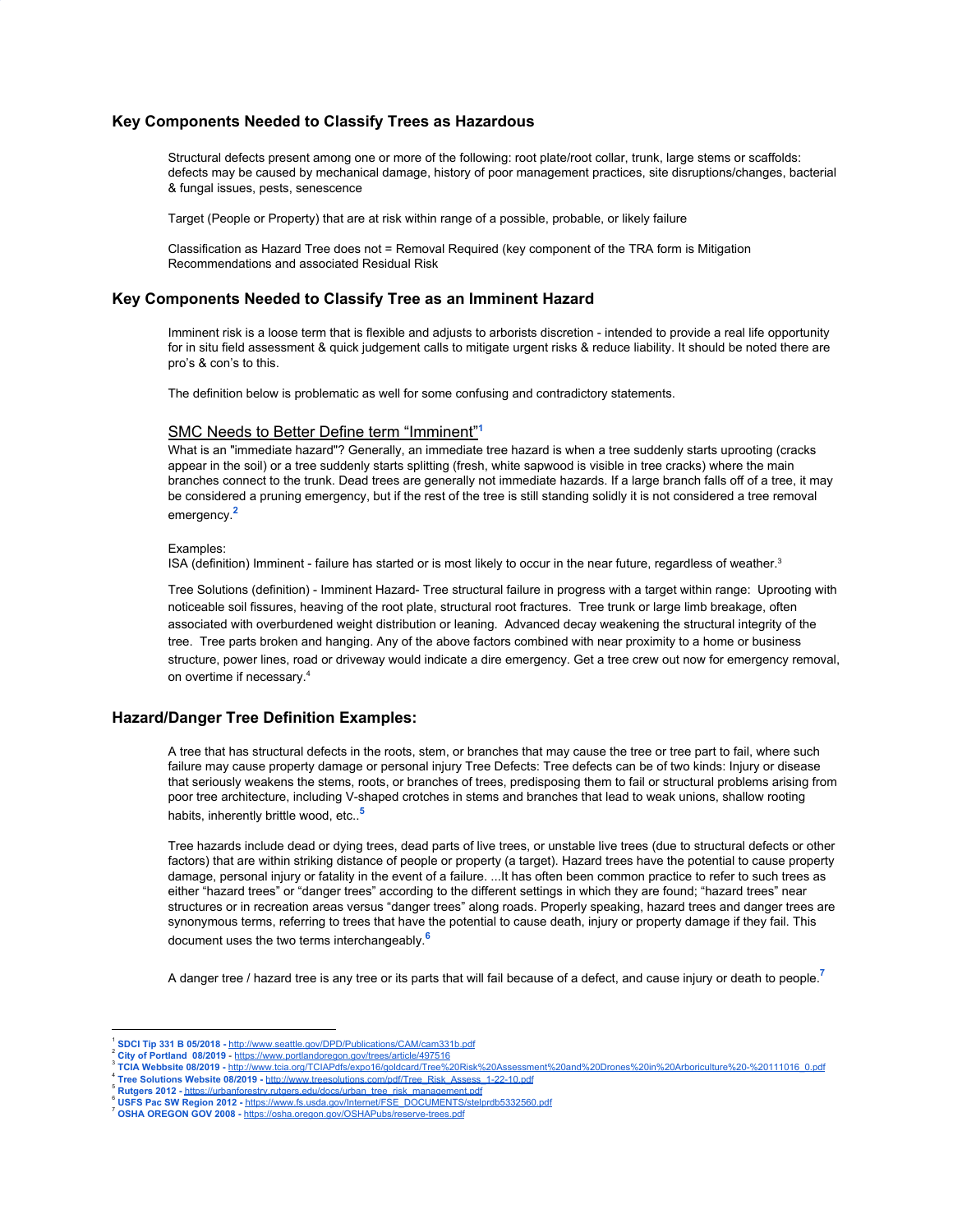### **Key Components Needed to Classify Trees as Hazardous**

Structural defects present among one or more of the following: root plate/root collar, trunk, large stems or scaffolds: defects may be caused by mechanical damage, history of poor management practices, site disruptions/changes, bacterial & fungal issues, pests, senescence

Target (People or Property) that are at risk within range of a possible, probable, or likely failure

Classification as Hazard Tree does not = Removal Required (key component of the TRA form is Mitigation Recommendations and associated Residual Risk

### **Key Components Needed to Classify Tree as an Imminent Hazard**

Imminent risk is a loose term that is flexible and adjusts to arborists discretion - intended to provide a real life opportunity for in situ field assessment & quick judgement calls to mitigate urgent risks & reduce liability. It should be noted there are pro's & con's to this.

The definition below is problematic as well for some confusing and contradictory statements.

### SMC Needs to Better Define term "Imminent" **1**

What is an "immediate hazard"? Generally, an immediate tree hazard is when a tree suddenly starts uprooting (cracks appear in the soil) or a tree suddenly starts splitting (fresh, white sapwood is visible in tree cracks) where the main branches connect to the trunk. Dead trees are generally not immediate hazards. If a large branch falls off of a tree, it may be considered a pruning emergency, but if the rest of the tree is still standing solidly it is not considered a tree removal emergency. **2**

#### Examples:

ISA (definition) Imminent - failure has started or is most likely to occur in the near future, regardless of weather.<sup>3</sup>

Tree Solutions (definition) - Imminent Hazard- Tree structural failure in progress with a target within range: Uprooting with noticeable soil fissures, heaving of the root plate, structural root fractures. Tree trunk or large limb breakage, often associated with overburdened weight distribution or leaning. Advanced decay weakening the structural integrity of the tree. Tree parts broken and hanging. Any of the above factors combined with near proximity to a home or business structure, power lines, road or driveway would indicate a dire emergency. Get a tree crew out now for emergency removal, on overtime if necessary. 4

## **Hazard/Danger Tree Definition Examples:**

A tree that has structural defects in the roots, stem, or branches that may cause the tree or tree part to fail, where such failure may cause property damage or personal injury Tree Defects: Tree defects can be of two kinds: Injury or disease that seriously weakens the stems, roots, or branches of trees, predisposing them to fail or structural problems arising from poor tree architecture, including V-shaped crotches in stems and branches that lead to weak unions, shallow rooting habits, inherently brittle wood, etc.. **5**

Tree hazards include dead or dying trees, dead parts of live trees, or unstable live trees (due to structural defects or other factors) that are within striking distance of people or property (a target). Hazard trees have the potential to cause property damage, personal injury or fatality in the event of a failure. ...It has often been common practice to refer to such trees as either "hazard trees" or "danger trees" according to the different settings in which they are found; "hazard trees" near structures or in recreation areas versus "danger trees" along roads. Properly speaking, hazard trees and danger trees are synonymous terms, referring to trees that have the potential to cause death, injury or property damage if they fail. This document uses the two terms interchangeably. **6**

A danger tree / hazard tree is any tree or its parts that will fail because of a defect, and cause injury or death to people. **7**

- 4 **Tree Solutions Website 08/2019 -** [http://www.treesolutions.com/pdf/Tree\\_Risk\\_Assess\\_1-22-10.pdf](http://www.treesolutions.com/pdf/Tree_Risk_Assess_1-22-10.pdf)
- Rutgers 2012 [https://urbanforestry.rutgers.edu/docs/urban\\_tree\\_risk\\_management.pdf](https://urbanforestry.rutgers.edu/docs/urban_tree_risk_management.pdf)

<sup>1</sup> **[S](http://www.seattle.gov/DPD/Publications/CAM/cam331b.pdf)DCI Tip 331 B 05/2018 -** <http://www.seattle.gov/DPD/Publications/CAM/cam331b.pdf>

<sup>2</sup> **City of Portland 08/2019** - <https://www.portlandoregon.gov/trees/article/497516>

<sup>3</sup> **TCIA Webbsite 08/2019 -** [http://www.tcia.org/TCIAPdfs/expo16/goldcard/Tree%20Risk%20Assessment%20and%20Drones%20in%20Arboriculture%20-%20111016\\_0.pdf](http://www.tcia.org/TCIAPdfs/expo16/goldcard/Tree%20Risk%20Assessment%20and%20Drones%20in%20Arboriculture%20-%20111016_0.pdf)

USFS Pac SW Region 2012 - [https://www.fs.usda.gov/Internet/FSE\\_DOCUMENTS/stelprdb5332560.pdf](https://www.fs.usda.gov/Internet/FSE_DOCUMENTS/stelprdb5332560.pdf) <sup>7</sup> **OSHA OREGON GOV 2008 -** <https://osha.oregon.gov/OSHAPubs/reserve-trees.pdf>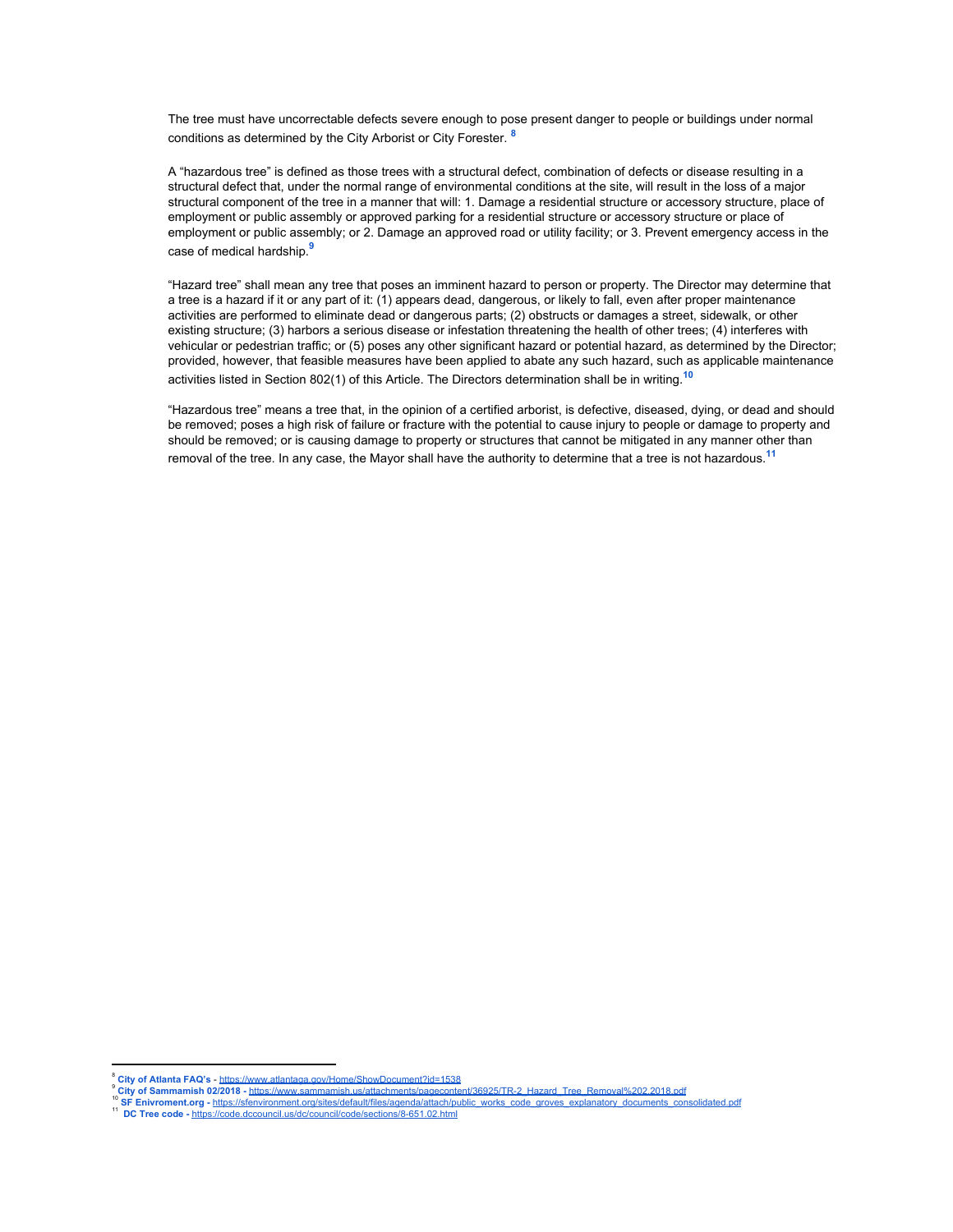The tree must have uncorrectable defects severe enough to pose present danger to people or buildings under normal conditions as determined by the City Arborist or City Forester. **8**

A "hazardous tree" is defined as those trees with a structural defect, combination of defects or disease resulting in a structural defect that, under the normal range of environmental conditions at the site, will result in the loss of a major structural component of the tree in a manner that will: 1. Damage a residential structure or accessory structure, place of employment or public assembly or approved parking for a residential structure or accessory structure or place of employment or public assembly; or 2. Damage an approved road or utility facility; or 3. Prevent emergency access in the case of medical hardship. **9**

"Hazard tree" shall mean any tree that poses an imminent hazard to person or property. The Director may determine that a tree is a hazard if it or any part of it: (1) appears dead, dangerous, or likely to fall, even after proper maintenance activities are performed to eliminate dead or dangerous parts; (2) obstructs or damages a street, sidewalk, or other existing structure; (3) harbors a serious disease or infestation threatening the health of other trees; (4) interferes with vehicular or pedestrian traffic; or (5) poses any other significant hazard or potential hazard, as determined by the Director; provided, however, that feasible measures have been applied to abate any such hazard, such as applicable maintenance activities listed in Section 802(1) of this Article. The Directors determination shall be in writing. **10**

"Hazardous tree" means a tree that, in the opinion of a certified arborist, is defective, diseased, dying, or dead and should be removed; poses a high risk of failure or fracture with the potential to cause injury to people or damage to property and should be removed; or is causing damage to property or structures that cannot be mitigated in any manner other than removal of the tree. In any case, the Mayor shall have the authority to determine that a tree is not hazardous. **11**

<sup>8</sup> **City of Atlanta FAQ's** - <https://www.atlantaga.gov/Home/ShowDocument?id=1538>

<sup>9</sup> **City of Sammamish 02/2018 -** [https://www.sammamish.us/attachments/pagecontent/36925/TR-2\\_Hazard\\_Tree\\_Removal%202.2018.pdf](https://www.sammamish.us/attachments/pagecontent/36925/TR-2_Hazard_Tree_Removal%202.2018.pdf)

SF Enivroment.org - https://sfenvironment.org/sites/default/files/agenda/attach/public\_works\_code\_groves\_explanatory\_documents\_cons

<sup>&</sup>lt;sup>11</sup> DC Tree code - <https://code.dccouncil.us/dc/council/code/sections/8-651.02.html>